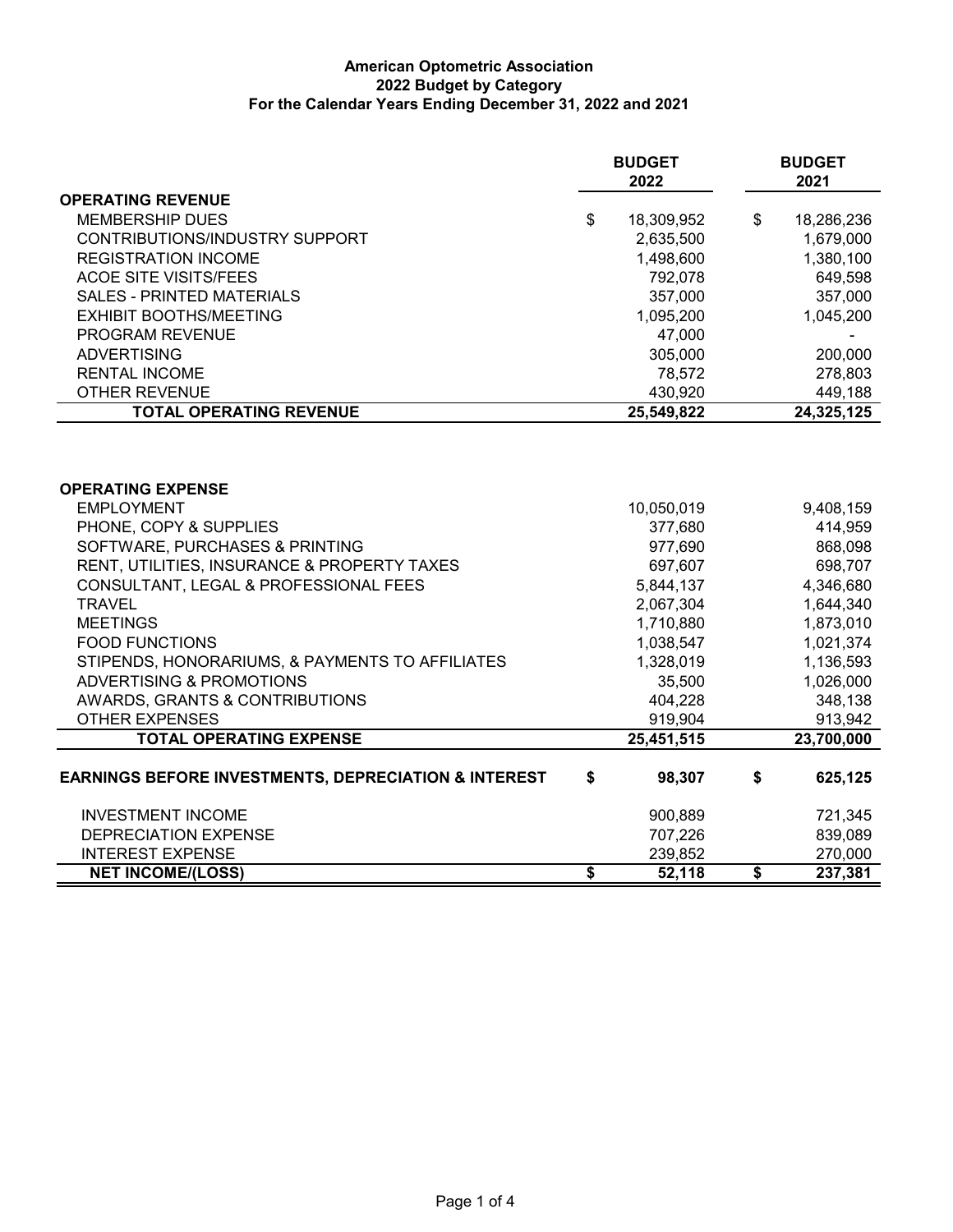## **American Optometric Association 2022 Budget by Category For the Calendar Years Ending December 31, 2022 and 2021**

|                                                                 | <b>BUDGET</b><br>2022 |            | <b>BUDGET</b><br>2021 |  |
|-----------------------------------------------------------------|-----------------------|------------|-----------------------|--|
| <b>OPERATING REVENUE</b>                                        |                       |            |                       |  |
| <b>MEMBERSHIP DUES</b>                                          | \$                    | 18,309,952 | \$<br>18,286,236      |  |
| CONTRIBUTIONS/INDUSTRY SUPPORT                                  |                       | 2,635,500  | 1,679,000             |  |
| <b>REGISTRATION INCOME</b>                                      |                       | 1,498,600  | 1,380,100             |  |
| <b>ACOE SITE VISITS/FEES</b>                                    |                       | 792,078    | 649,598               |  |
| <b>SALES - PRINTED MATERIALS</b>                                |                       | 357,000    | 357,000               |  |
| <b>EXHIBIT BOOTHS/MEETING</b>                                   |                       | 1,095,200  | 1,045,200             |  |
| PROGRAM REVENUE                                                 |                       | 47,000     |                       |  |
| <b>ADVERTISING</b>                                              |                       | 305,000    | 200,000               |  |
| <b>RENTAL INCOME</b>                                            |                       | 78,572     | 278,803               |  |
| <b>OTHER REVENUE</b>                                            |                       | 430,920    | 449,188               |  |
| <b>TOTAL OPERATING REVENUE</b>                                  |                       | 25,549,822 | 24,325,125            |  |
| <b>OPERATING EXPENSE</b>                                        |                       |            |                       |  |
| <b>EMPLOYMENT</b>                                               |                       | 10,050,019 | 9,408,159             |  |
| PHONE, COPY & SUPPLIES                                          |                       | 377,680    | 414,959               |  |
| SOFTWARE, PURCHASES & PRINTING                                  |                       | 977,690    | 868,098               |  |
| RENT, UTILITIES, INSURANCE & PROPERTY TAXES                     |                       | 697,607    | 698,707               |  |
| CONSULTANT, LEGAL & PROFESSIONAL FEES                           |                       | 5,844,137  | 4,346,680             |  |
| <b>TRAVEL</b>                                                   |                       | 2,067,304  | 1,644,340             |  |
| <b>MEETINGS</b>                                                 |                       | 1,710,880  | 1,873,010             |  |
| <b>FOOD FUNCTIONS</b>                                           |                       | 1,038,547  | 1,021,374             |  |
| STIPENDS, HONORARIUMS, & PAYMENTS TO AFFILIATES                 |                       | 1,328,019  | 1,136,593             |  |
| <b>ADVERTISING &amp; PROMOTIONS</b>                             |                       | 35,500     | 1,026,000             |  |
| <b>AWARDS, GRANTS &amp; CONTRIBUTIONS</b>                       |                       | 404,228    | 348,138               |  |
| <b>OTHER EXPENSES</b>                                           |                       | 919,904    | 913,942               |  |
| <b>TOTAL OPERATING EXPENSE</b>                                  |                       | 25,451,515 | 23,700,000            |  |
| <b>EARNINGS BEFORE INVESTMENTS, DEPRECIATION &amp; INTEREST</b> | \$                    | 98,307     | \$<br>625,125         |  |
| <b>INVESTMENT INCOME</b>                                        |                       | 900,889    | 721,345               |  |
| <b>DEPRECIATION EXPENSE</b>                                     |                       | 707,226    | 839,089               |  |
| <b>INTEREST EXPENSE</b>                                         |                       | 239,852    | 270,000               |  |
| <b>NET INCOME/(LOSS)</b>                                        | \$                    | 52,118     | \$<br>237,381         |  |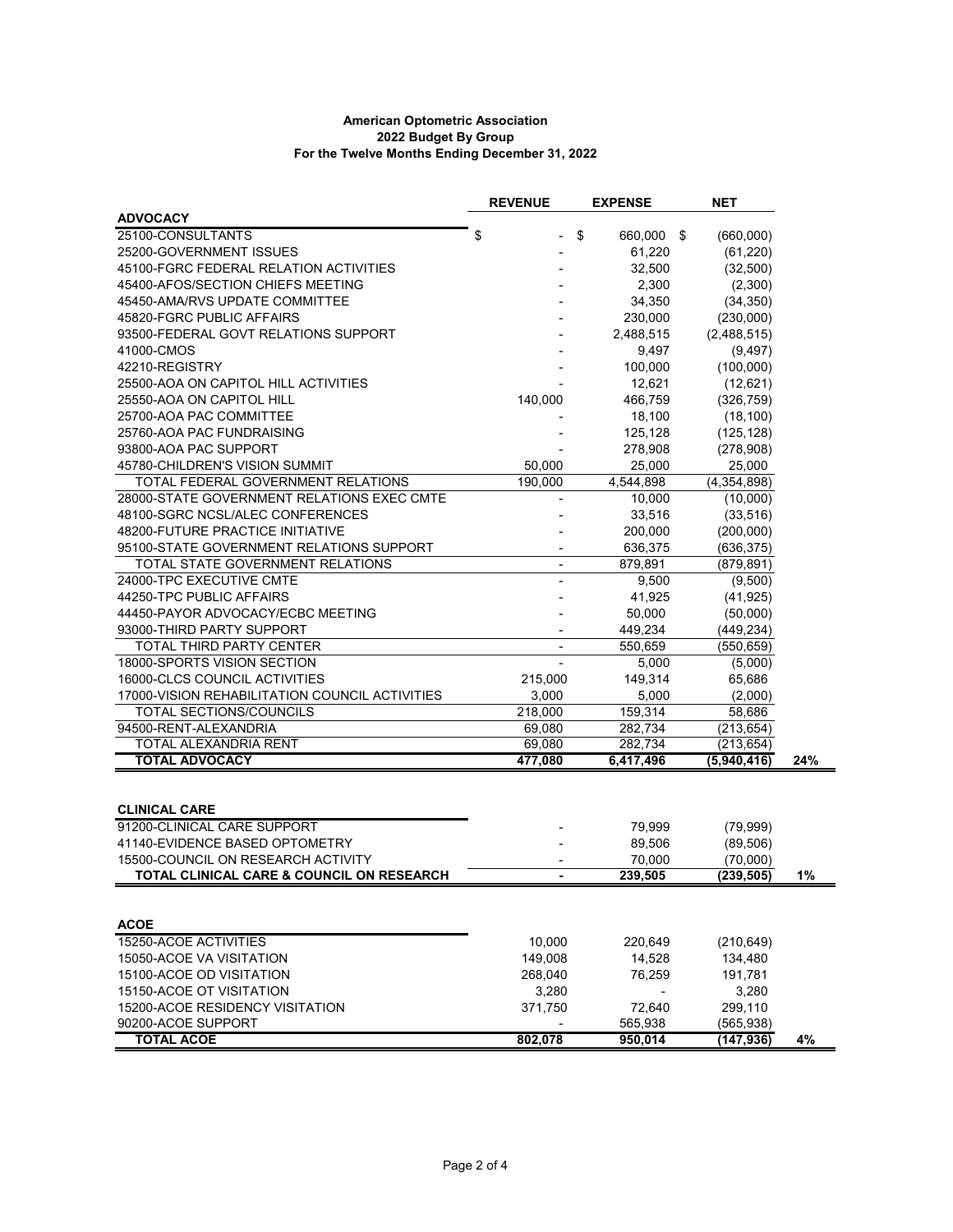## **American Optometric Association 2022 Budget By Group For the Twelve Months Ending December 31, 2022**

|                                                                                 | <b>REVENUE</b> | <b>EXPENSE</b>    | <b>NET</b>             |     |
|---------------------------------------------------------------------------------|----------------|-------------------|------------------------|-----|
| <b>ADVOCACY</b>                                                                 |                |                   |                        |     |
| 25100-CONSULTANTS                                                               | \$<br>\$       | 660,000 \$        | (660,000)              |     |
| 25200-GOVERNMENT ISSUES                                                         |                | 61,220            | (61, 220)              |     |
| 45100-FGRC FEDERAL RELATION ACTIVITIES                                          |                | 32,500            | (32,500)               |     |
| 45400-AFOS/SECTION CHIEFS MEETING                                               |                | 2,300             | (2,300)                |     |
| 45450-AMA/RVS UPDATE COMMITTEE                                                  |                | 34,350            | (34, 350)              |     |
| 45820-FGRC PUBLIC AFFAIRS                                                       |                | 230,000           | (230,000)              |     |
| 93500-FEDERAL GOVT RELATIONS SUPPORT                                            |                | 2,488,515         | (2,488,515)            |     |
| 41000-CMOS                                                                      |                | 9,497             | (9, 497)               |     |
| 42210-REGISTRY                                                                  |                | 100,000           | (100,000)              |     |
| 25500-AOA ON CAPITOL HILL ACTIVITIES                                            |                | 12,621            | (12,621)               |     |
| 25550-AOA ON CAPITOL HILL                                                       | 140,000        | 466,759           | (326, 759)             |     |
| 25700-AOA PAC COMMITTEE                                                         |                | 18,100            | (18, 100)              |     |
| 25760-AOA PAC FUNDRAISING                                                       |                | 125,128           | (125, 128)             |     |
| 93800-AOA PAC SUPPORT                                                           |                | 278,908           | (278,908)              |     |
| 45780-CHILDREN'S VISION SUMMIT                                                  | 50,000         | 25,000            | 25,000                 |     |
| TOTAL FEDERAL GOVERNMENT RELATIONS                                              | 190,000        | 4,544,898         | (4, 354, 898)          |     |
| 28000-STATE GOVERNMENT RELATIONS EXEC CMTE                                      |                | 10,000            | (10,000)               |     |
| 48100-SGRC NCSL/ALEC CONFERENCES                                                |                | 33,516            | (33, 516)              |     |
| 48200-FUTURE PRACTICE INITIATIVE                                                |                | 200,000           | (200,000)              |     |
| 95100-STATE GOVERNMENT RELATIONS SUPPORT                                        |                | 636,375           | (636, 375)             |     |
| TOTAL STATE GOVERNMENT RELATIONS                                                | $\blacksquare$ | 879,891           | (879, 891)             |     |
| 24000-TPC EXECUTIVE CMTE                                                        |                |                   | (9,500)                |     |
| 44250-TPC PUBLIC AFFAIRS                                                        |                | 9,500<br>41,925   |                        |     |
|                                                                                 |                |                   | (41, 925)              |     |
| 44450-PAYOR ADVOCACY/ECBC MEETING                                               |                | 50,000            | (50,000)               |     |
| 93000-THIRD PARTY SUPPORT                                                       |                | 449,234           | (449, 234)             |     |
| TOTAL THIRD PARTY CENTER                                                        |                | 550,659           | (550, 659)             |     |
| 18000-SPORTS VISION SECTION                                                     |                | 5,000             | (5,000)                |     |
| 16000-CLCS COUNCIL ACTIVITIES                                                   | 215,000        | 149,314           | 65,686                 |     |
| 17000-VISION REHABILITATION COUNCIL ACTIVITIES                                  | 3,000          | 5,000             | (2,000)                |     |
| TOTAL SECTIONS/COUNCILS                                                         | 218,000        | 159,314           | 58,686                 |     |
| 94500-RENT-ALEXANDRIA                                                           | 69,080         | 282,734           | (213, 654)             |     |
| TOTAL ALEXANDRIA RENT<br><b>TOTAL ADVOCACY</b>                                  | 69,080         | 282,734           | (213, 654)             |     |
|                                                                                 | 477.080        | 6,417,496         | (5,940,416)            | 24% |
|                                                                                 |                |                   |                        |     |
| <b>CLINICAL CARE</b>                                                            |                |                   |                        |     |
| 91200-CLINICAL CARE SUPPORT                                                     |                | 79,999            | (79,999)               |     |
| 41140-EVIDENCE BASED OPTOMETRY                                                  |                | 89,506            | (89, 506)              |     |
|                                                                                 |                |                   |                        |     |
| 15500-COUNCIL ON RESEARCH ACTIVITY<br>TOTAL CLINICAL CARE & COUNCIL ON RESEARCH |                | 70,000<br>239,505 | (70,000)<br>(239, 505) | 1%  |
|                                                                                 |                |                   |                        |     |
|                                                                                 |                |                   |                        |     |
| <b>ACOE</b>                                                                     |                |                   |                        |     |
| 15250-ACOE ACTIVITIES                                                           | 10,000         | 220,649           | (210, 649)             |     |
| 15050-ACOE VA VISITATION                                                        | 149,008        | 14,528            | 134,480                |     |
| 15100-ACOE OD VISITATION                                                        | 268,040        | 76,259            | 191,781                |     |
| 15150-ACOE OT VISITATION                                                        | 3,280          |                   | 3,280                  |     |
| 15200-ACOE RESIDENCY VISITATION                                                 | 371,750        | 72,640            | 299,110                |     |
| 90200-ACOE SUPPORT                                                              |                | 565,938           | (565, 938)             |     |
| <b>TOTAL ACOE</b>                                                               | 802,078        | 950,014           | (147, 936)             | 4%  |
|                                                                                 |                |                   |                        |     |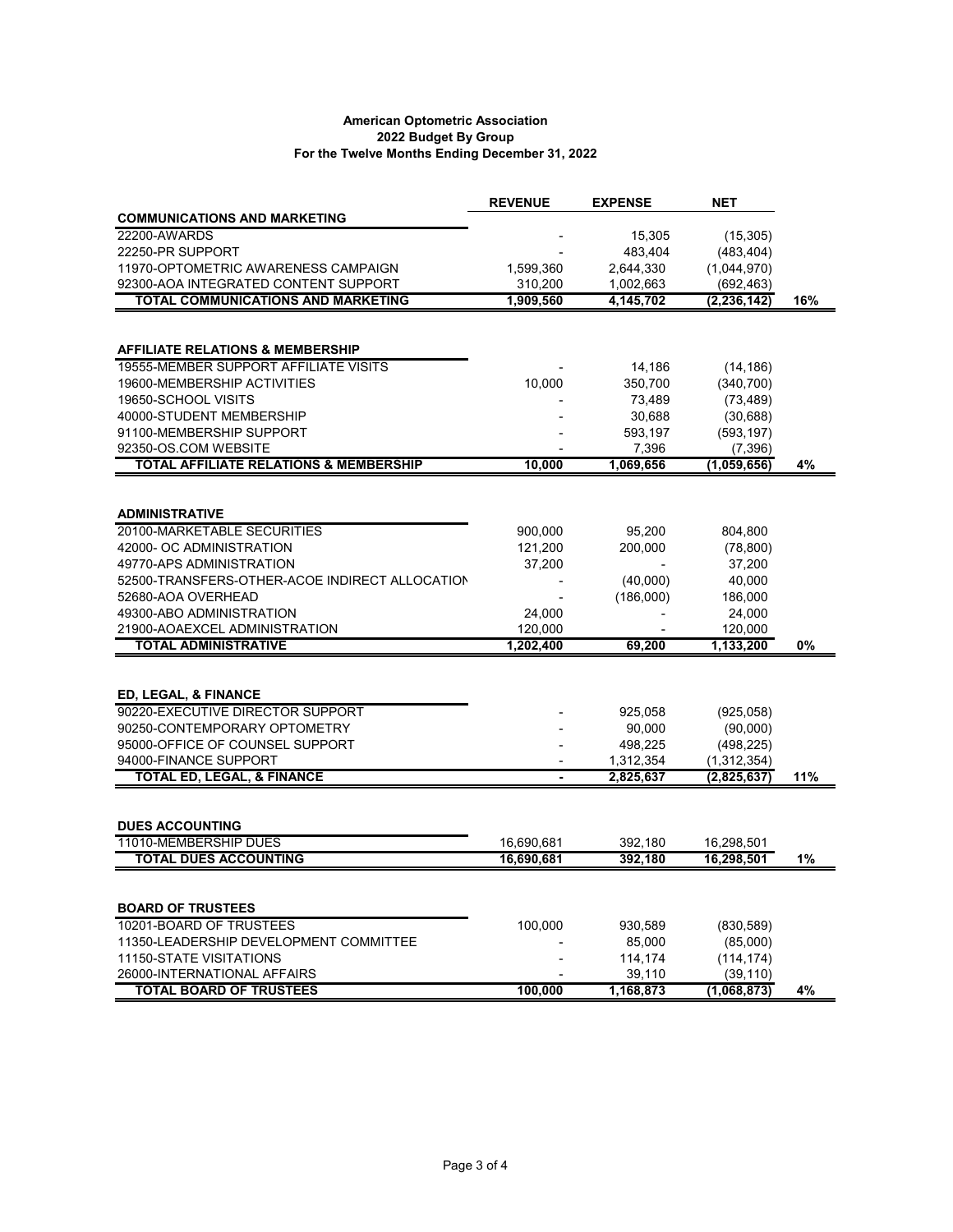## **American Optometric Association 2022 Budget By Group For the Twelve Months Ending December 31, 2022**

|                                                                           | <b>REVENUE</b> | <b>EXPENSE</b>      | <b>NET</b>               |     |
|---------------------------------------------------------------------------|----------------|---------------------|--------------------------|-----|
| <b>COMMUNICATIONS AND MARKETING</b>                                       |                |                     |                          |     |
| 22200-AWARDS                                                              |                | 15,305              | (15, 305)                |     |
| 22250-PR SUPPORT                                                          |                | 483,404             | (483, 404)               |     |
| 11970-OPTOMETRIC AWARENESS CAMPAIGN                                       | 1,599,360      | 2,644,330           | (1,044,970)              |     |
| 92300-AOA INTEGRATED CONTENT SUPPORT                                      | 310,200        | 1,002,663           | (692, 463)               |     |
| <b>TOTAL COMMUNICATIONS AND MARKETING</b>                                 | 1.909.560      | 4,145,702           | (2, 236, 142)            | 16% |
|                                                                           |                |                     |                          |     |
|                                                                           |                |                     |                          |     |
| <b>AFFILIATE RELATIONS &amp; MEMBERSHIP</b>                               |                |                     |                          |     |
| 19555-MEMBER SUPPORT AFFILIATE VISITS                                     |                | 14,186              | (14, 186)                |     |
| 19600-MEMBERSHIP ACTIVITIES                                               | 10,000         | 350,700             | (340, 700)               |     |
| 19650-SCHOOL VISITS                                                       |                | 73,489              | (73, 489)                |     |
| 40000-STUDENT MEMBERSHIP                                                  |                | 30,688              | (30, 688)                |     |
| 91100-MEMBERSHIP SUPPORT                                                  |                | 593,197             | (593, 197)               |     |
| 92350-OS.COM WEBSITE<br><b>TOTAL AFFILIATE RELATIONS &amp; MEMBERSHIP</b> | 10,000         | 7,396<br>1,069,656  | (7,396)<br>(1,059,656)   | 4%  |
|                                                                           |                |                     |                          |     |
|                                                                           |                |                     |                          |     |
| <b>ADMINISTRATIVE</b>                                                     |                |                     |                          |     |
| 20100-MARKETABLE SECURITIES                                               | 900,000        | 95,200              | 804,800                  |     |
| 42000- OC ADMINISTRATION                                                  | 121,200        | 200,000             | (78, 800)                |     |
| 49770-APS ADMINISTRATION                                                  | 37,200         |                     | 37,200                   |     |
| 52500-TRANSFERS-OTHER-ACOE INDIRECT ALLOCATION                            |                | (40,000)            | 40,000                   |     |
| 52680-AOA OVERHEAD                                                        |                | (186,000)           | 186,000                  |     |
| 49300-ABO ADMINISTRATION                                                  | 24,000         |                     | 24,000                   |     |
| 21900-AOAEXCEL ADMINISTRATION                                             | 120,000        |                     | 120,000                  |     |
| <b>TOTAL ADMINISTRATIVE</b>                                               | 1,202,400      | 69,200              | 1,133,200                | 0%  |
|                                                                           |                |                     |                          |     |
|                                                                           |                |                     |                          |     |
| ED, LEGAL, & FINANCE                                                      |                |                     |                          |     |
| 90220-EXECUTIVE DIRECTOR SUPPORT                                          |                | 925,058             | (925,058)                |     |
| 90250-CONTEMPORARY OPTOMETRY                                              |                | 90,000              | (90,000)                 |     |
| 95000-OFFICE OF COUNSEL SUPPORT                                           |                | 498,225             | (498, 225)               |     |
| 94000-FINANCE SUPPORT                                                     |                | 1,312,354           | (1,312,354)              |     |
| <b>TOTAL ED, LEGAL, &amp; FINANCE</b>                                     | L.             | 2,825,637           | (2,825,637)              | 11% |
|                                                                           |                |                     |                          |     |
| <b>DUES ACCOUNTING</b>                                                    |                |                     |                          |     |
| 11010-MEMBERSHIP DUES                                                     | 16,690,681     | 392,180             | 16,298,501               |     |
| <b>TOTAL DUES ACCOUNTING</b>                                              | 16,690,681     | 392,180             | 16,298,501               | 1%  |
|                                                                           |                |                     |                          |     |
|                                                                           |                |                     |                          |     |
| <b>BOARD OF TRUSTEES</b>                                                  |                |                     |                          |     |
| 10201-BOARD OF TRUSTEES                                                   | 100,000        | 930,589             | (830, 589)               |     |
| 11350-LEADERSHIP DEVELOPMENT COMMITTEE                                    |                | 85,000              | (85,000)                 |     |
| <b>11150-STATE VISITATIONS</b>                                            |                | 114,174             | (114, 174)               |     |
| 26000-INTERNATIONAL AFFAIRS<br><b>TOTAL BOARD OF TRUSTEES</b>             | 100,000        | 39,110<br>1,168,873 | (39, 110)<br>(1,068,873) | 4%  |
|                                                                           |                |                     |                          |     |